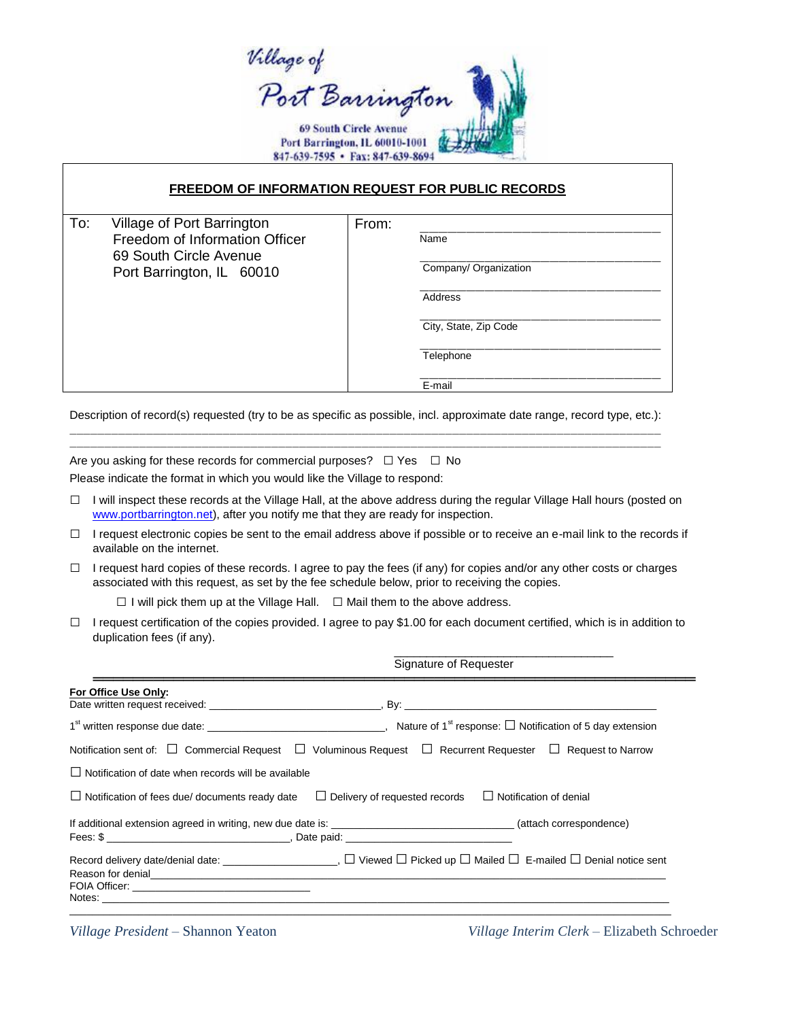Village of<br>Port Barrington **69 South Circle Avenue** Port Barrington, IL 60010-1001 847-639-7595 · Fax: 847-639-8694

## **FREEDOM OF INFORMATION REQUEST FOR PUBLIC RECORDS**

From:

| To: | Village of Port Barrington     |  |  |
|-----|--------------------------------|--|--|
|     | Freedom of Information Officer |  |  |
|     | 69 South Circle Avenue         |  |  |
|     | Port Barrington, IL 60010      |  |  |
|     |                                |  |  |

Name

Company/ Organization

**Address** 

City, State, Zip Code

**Telephone** 

E-mail

Description of record(s) requested (try to be as specific as possible, incl. approximate date range, record type, etc.):

 $\mathcal{L}_\text{max}$ 

Are you asking for these records for commercial purposes?  $\Box$  Yes  $\Box$  No Please indicate the format in which you would like the Village to respond:

- $\Box$  I will inspect these records at the Village Hall, at the above address during the regular Village Hall hours (posted on [www.portbarrington.net\)](http://www.portbarrington.net/), after you notify me that they are ready for inspection.
- $\Box$  I request electronic copies be sent to the email address above if possible or to receive an e-mail link to the records if available on the internet.
- $\Box$  I request hard copies of these records. I agree to pay the fees (if any) for copies and/or any other costs or charges associated with this request, as set by the fee schedule below, prior to receiving the copies.

 $\Box$  I will pick them up at the Village Hall.  $\Box$  Mail them to the above address.

 $\Box$  I request certification of the copies provided. I agree to pay \$1.00 for each document certified, which is in addition to duplication fees (if any).

> \_\_\_\_\_\_\_\_\_\_\_\_\_\_\_\_\_\_\_\_\_\_\_\_\_\_\_\_\_\_\_\_\_\_ Signature of Requester

| For Office Use Only:                                                                                             |                                                                                                                               |
|------------------------------------------------------------------------------------------------------------------|-------------------------------------------------------------------------------------------------------------------------------|
|                                                                                                                  |                                                                                                                               |
|                                                                                                                  | Notification sent of: $\Box$ Commercial Request $\Box$ Voluminous Request $\Box$ Recurrent Requester $\Box$ Request to Narrow |
| $\Box$ Notification of date when records will be available                                                       |                                                                                                                               |
| $\Box$ Notification of fees due/ documents ready date                                                            | $\Box$ Delivery of requested records $\Box$ Notification of denial                                                            |
|                                                                                                                  | If additional extension agreed in writing, new due date is: _________________________________(attach correspondence)          |
|                                                                                                                  |                                                                                                                               |
|                                                                                                                  | Record delivery date/denial date: $\Box$ Viewed $\Box$ Picked up $\Box$ Mailed $\Box$ E-mailed $\Box$ Denial notice sent      |
| Reason for denial experience and the contract of the contract of the contract of the contract of the contract of |                                                                                                                               |
|                                                                                                                  |                                                                                                                               |

*Village President* – Shannon Yeaton *Village Interim Clerk* – Elizabeth Schroeder